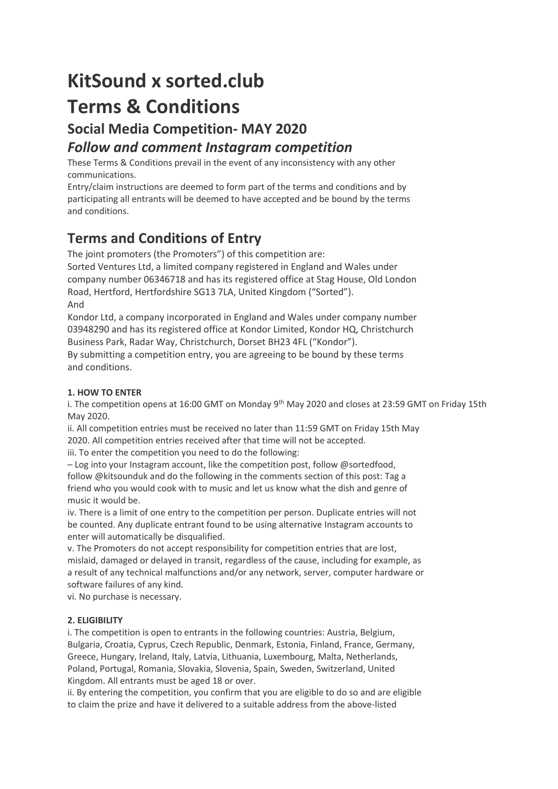# **KitSound x sorted.club Terms & Conditions**

## **Social Media Competition- MAY 2020**

### *Follow and comment Instagram competition*

These Terms & Conditions prevail in the event of any inconsistency with any other communications.

Entry/claim instructions are deemed to form part of the terms and conditions and by participating all entrants will be deemed to have accepted and be bound by the terms and conditions.

# **Terms and Conditions of Entry**

The joint promoters (the Promoters") of this competition are: Sorted Ventures Ltd, a limited company registered in England and Wales under company number 06346718 and has its registered office at Stag House, Old London Road, Hertford, Hertfordshire SG13 7LA, United Kingdom ("Sorted"). And

Kondor Ltd, a company incorporated in England and Wales under company number 03948290 and has its registered office at Kondor Limited, Kondor HQ, Christchurch Business Park, Radar Way, Christchurch, Dorset BH23 4FL ("Kondor").

By submitting a competition entry, you are agreeing to be bound by these terms and conditions.

### **1. HOW TO ENTER**

i. The competition opens at 16:00 GMT on Monday 9<sup>th</sup> May 2020 and closes at 23:59 GMT on Friday 15th May 2020.

ii. All competition entries must be received no later than 11:59 GMT on Friday 15th May 2020. All competition entries received after that time will not be accepted.

iii. To enter the competition you need to do the following:

– Log into your Instagram account, like the competition post, follow @sortedfood, follow @kitsounduk and do the following in the comments section of this post: Tag a friend who you would cook with to music and let us know what the dish and genre of music it would be.

iv. There is a limit of one entry to the competition per person. Duplicate entries will not be counted. Any duplicate entrant found to be using alternative Instagram accounts to enter will automatically be disqualified.

v. The Promoters do not accept responsibility for competition entries that are lost, mislaid, damaged or delayed in transit, regardless of the cause, including for example, as a result of any technical malfunctions and/or any network, server, computer hardware or software failures of any kind.

vi. No purchase is necessary.

### **2. ELIGIBILITY**

i. The competition is open to entrants in the following countries: Austria, Belgium, Bulgaria, Croatia, Cyprus, Czech Republic, Denmark, Estonia, Finland, France, Germany, Greece, Hungary, Ireland, Italy, Latvia, Lithuania, Luxembourg, Malta, Netherlands, Poland, Portugal, Romania, Slovakia, Slovenia, Spain, Sweden, Switzerland, United Kingdom. All entrants must be aged 18 or over.

ii. By entering the competition, you confirm that you are eligible to do so and are eligible to claim the prize and have it delivered to a suitable address from the above-listed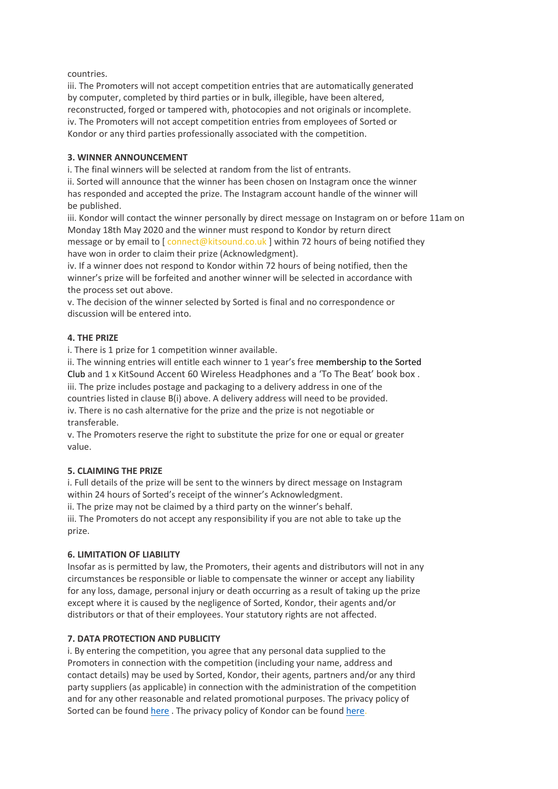#### countries.

iii. The Promoters will not accept competition entries that are automatically generated by computer, completed by third parties or in bulk, illegible, have been altered, reconstructed, forged or tampered with, photocopies and not originals or incomplete. iv. The Promoters will not accept competition entries from employees of Sorted or Kondor or any third parties professionally associated with the competition.

#### **3. WINNER ANNOUNCEMENT**

i. The final winners will be selected at random from the list of entrants.

ii. Sorted will announce that the winner has been chosen on Instagram once the winner has responded and accepted the prize. The Instagram account handle of the winner will be published.

iii. Kondor will contact the winner personally by direct message on Instagram on or before 11am on Monday 18th May 2020 and the winner must respond to Kondor by return direct message or by email to  $\int$  connect@kitsound.co.uk ] within 72 hours of being notified they have won in order to claim their prize (Acknowledgment).

iv. If a winner does not respond to Kondor within 72 hours of being notified, then the winner's prize will be forfeited and another winner will be selected in accordance with the process set out above.

v. The decision of the winner selected by Sorted is final and no correspondence or discussion will be entered into.

#### **4. THE PRIZE**

i. There is 1 prize for 1 competition winner available.

ii. The winning entries will entitle each winner to 1 year's free membership to the Sorted Club and 1 x KitSound Accent 60 Wireless Headphones and a 'To The Beat' book box .

iii. The prize includes postage and packaging to a delivery address in one of the countries listed in clause B(i) above. A delivery address will need to be provided. iv. There is no cash alternative for the prize and the prize is not negotiable or transferable.

v. The Promoters reserve the right to substitute the prize for one or equal or greater value.

#### **5. CLAIMING THE PRIZE**

i. Full details of the prize will be sent to the winners by direct message on Instagram within 24 hours of Sorted's receipt of the winner's Acknowledgment.

ii. The prize may not be claimed by a third party on the winner's behalf.

iii. The Promoters do not accept any responsibility if you are not able to take up the prize.

#### **6. LIMITATION OF LIABILITY**

Insofar as is permitted by law, the Promoters, their agents and distributors will not in any circumstances be responsible or liable to compensate the winner or accept any liability for any loss, damage, personal injury or death occurring as a result of taking up the prize except where it is caused by the negligence of Sorted, Kondor, their agents and/or distributors or that of their employees. Your statutory rights are not affected.

#### **7. DATA PROTECTION AND PUBLICITY**

i. By entering the competition, you agree that any personal data supplied to the Promoters in connection with the competition (including your name, address and contact details) may be used by Sorted, Kondor, their agents, partners and/or any third party suppliers (as applicable) in connection with the administration of the competition and for any other reasonable and related promotional purposes. The privacy policy of Sorted can be found [here](https://sorted.club/privacy-policy/). The privacy policy of Kondor can be foun[d here.](https://kitsound.co.uk/privacy/)